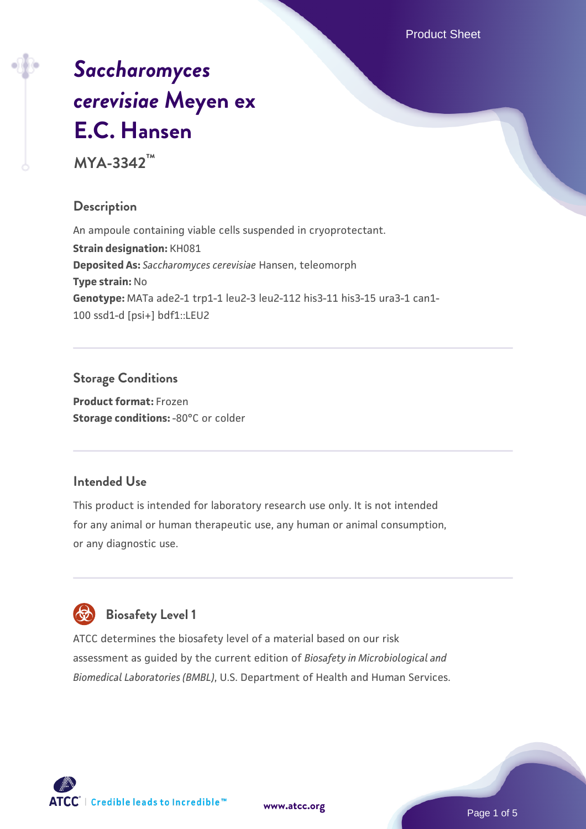Product Sheet

# *[Saccharomyces](https://www.atcc.org/products/mya-3342) [cerevisiae](https://www.atcc.org/products/mya-3342)* **[Meyen ex](https://www.atcc.org/products/mya-3342) [E.C. Hansen](https://www.atcc.org/products/mya-3342)**

**MYA-3342™**

# **Description**

An ampoule containing viable cells suspended in cryoprotectant. **Strain designation:** KH081 **Deposited As:** *Saccharomyces cerevisiae* Hansen, teleomorph **Type strain:** No **Genotype:** MATa ade2-1 trp1-1 leu2-3 leu2-112 his3-11 his3-15 ura3-1 can1- 100 ssd1-d [psi+] bdf1::LEU2

# **Storage Conditions**

**Product format:** Frozen **Storage conditions: -80°C or colder** 

### **Intended Use**

This product is intended for laboratory research use only. It is not intended for any animal or human therapeutic use, any human or animal consumption, or any diagnostic use.

# **Biosafety Level 1**

ATCC determines the biosafety level of a material based on our risk assessment as guided by the current edition of *Biosafety in Microbiological and Biomedical Laboratories (BMBL)*, U.S. Department of Health and Human Services.

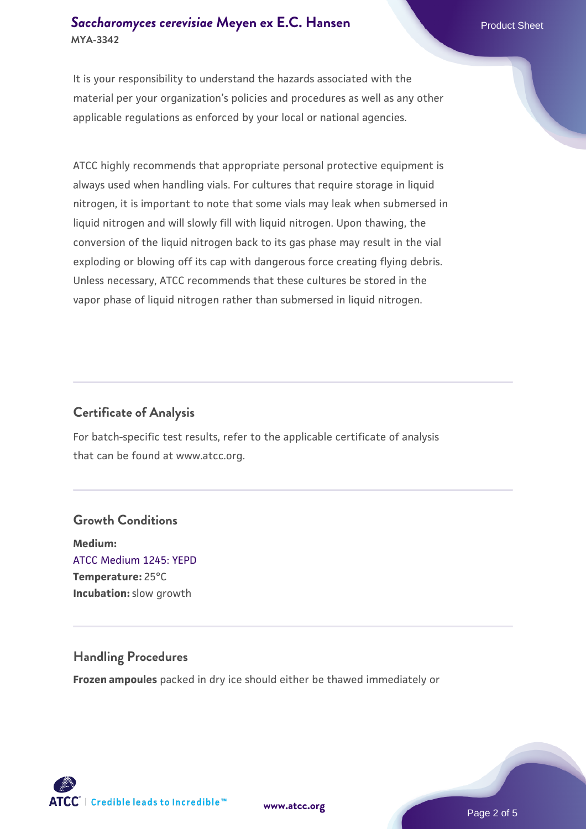#### **[Saccharomyces cerevisiae](https://www.atcc.org/products/mya-3342)** [Meyen ex E.C. Hansen](https://www.atcc.org/products/mya-3342) **MYA-3342**

It is your responsibility to understand the hazards associated with the material per your organization's policies and procedures as well as any other applicable regulations as enforced by your local or national agencies.

ATCC highly recommends that appropriate personal protective equipment is always used when handling vials. For cultures that require storage in liquid nitrogen, it is important to note that some vials may leak when submersed in liquid nitrogen and will slowly fill with liquid nitrogen. Upon thawing, the conversion of the liquid nitrogen back to its gas phase may result in the vial exploding or blowing off its cap with dangerous force creating flying debris. Unless necessary, ATCC recommends that these cultures be stored in the vapor phase of liquid nitrogen rather than submersed in liquid nitrogen.

# **Certificate of Analysis**

For batch-specific test results, refer to the applicable certificate of analysis that can be found at www.atcc.org.

# **Growth Conditions**

**Medium:**  [ATCC Medium 1245: YEPD](https://www.atcc.org/-/media/product-assets/documents/microbial-media-formulations/1/2/4/5/atcc-medium-1245.pdf?rev=705ca55d1b6f490a808a965d5c072196) **Temperature:** 25°C **Incubation:** slow growth

### **Handling Procedures**

**Frozen ampoules** packed in dry ice should either be thawed immediately or

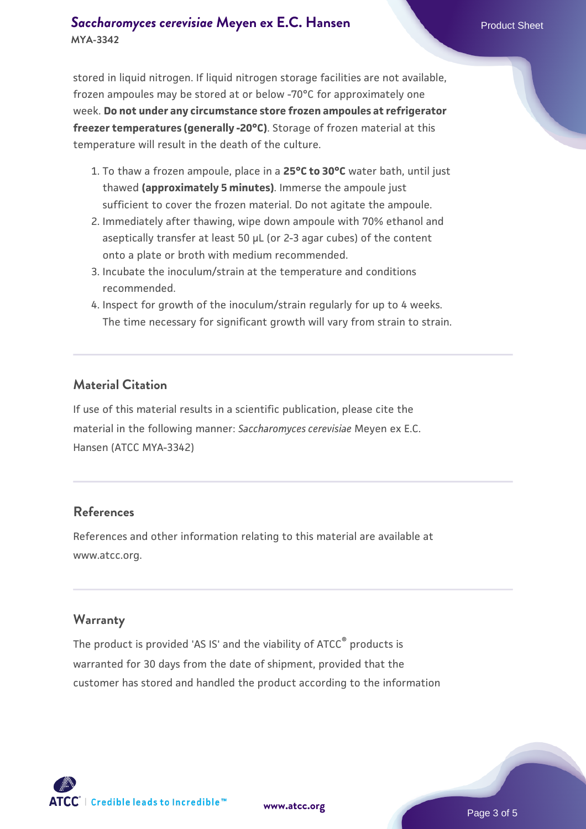#### **[Saccharomyces cerevisiae](https://www.atcc.org/products/mya-3342)** [Meyen ex E.C. Hansen](https://www.atcc.org/products/mya-3342) **MYA-3342**

stored in liquid nitrogen. If liquid nitrogen storage facilities are not available, frozen ampoules may be stored at or below -70°C for approximately one week. **Do not under any circumstance store frozen ampoules at refrigerator freezer temperatures (generally -20°C)**. Storage of frozen material at this temperature will result in the death of the culture.

- 1. To thaw a frozen ampoule, place in a **25°C to 30°C** water bath, until just thawed **(approximately 5 minutes)**. Immerse the ampoule just sufficient to cover the frozen material. Do not agitate the ampoule.
- 2. Immediately after thawing, wipe down ampoule with 70% ethanol and aseptically transfer at least 50 µL (or 2-3 agar cubes) of the content onto a plate or broth with medium recommended.
- 3. Incubate the inoculum/strain at the temperature and conditions recommended.
- 4. Inspect for growth of the inoculum/strain regularly for up to 4 weeks. The time necessary for significant growth will vary from strain to strain.

#### **Material Citation**

If use of this material results in a scientific publication, please cite the material in the following manner: *Saccharomyces cerevisiae* Meyen ex E.C. Hansen (ATCC MYA-3342)

#### **References**

References and other information relating to this material are available at www.atcc.org.

#### **Warranty**

The product is provided 'AS IS' and the viability of ATCC® products is warranted for 30 days from the date of shipment, provided that the customer has stored and handled the product according to the information

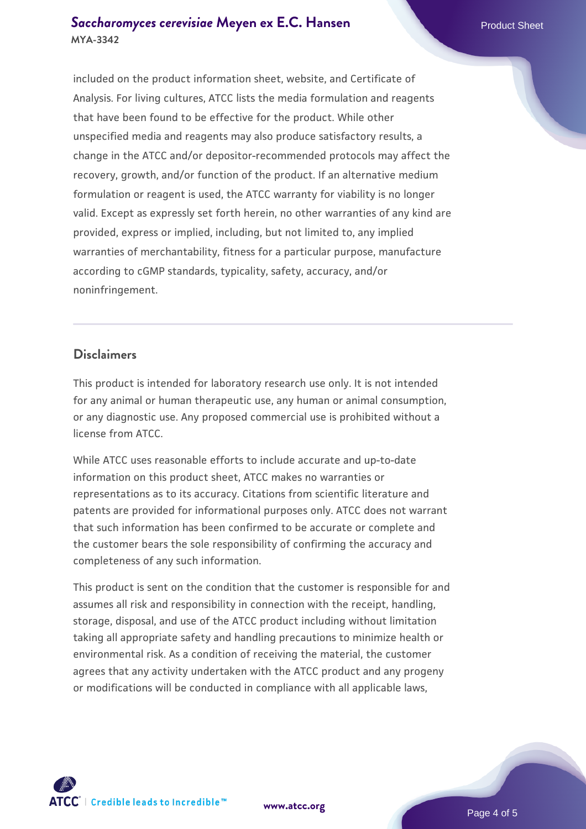#### **[Saccharomyces cerevisiae](https://www.atcc.org/products/mya-3342)** [Meyen ex E.C. Hansen](https://www.atcc.org/products/mya-3342) **MYA-3342**

included on the product information sheet, website, and Certificate of Analysis. For living cultures, ATCC lists the media formulation and reagents that have been found to be effective for the product. While other unspecified media and reagents may also produce satisfactory results, a change in the ATCC and/or depositor-recommended protocols may affect the recovery, growth, and/or function of the product. If an alternative medium formulation or reagent is used, the ATCC warranty for viability is no longer valid. Except as expressly set forth herein, no other warranties of any kind are provided, express or implied, including, but not limited to, any implied warranties of merchantability, fitness for a particular purpose, manufacture according to cGMP standards, typicality, safety, accuracy, and/or noninfringement.

#### **Disclaimers**

This product is intended for laboratory research use only. It is not intended for any animal or human therapeutic use, any human or animal consumption, or any diagnostic use. Any proposed commercial use is prohibited without a license from ATCC.

While ATCC uses reasonable efforts to include accurate and up-to-date information on this product sheet, ATCC makes no warranties or representations as to its accuracy. Citations from scientific literature and patents are provided for informational purposes only. ATCC does not warrant that such information has been confirmed to be accurate or complete and the customer bears the sole responsibility of confirming the accuracy and completeness of any such information.

This product is sent on the condition that the customer is responsible for and assumes all risk and responsibility in connection with the receipt, handling, storage, disposal, and use of the ATCC product including without limitation taking all appropriate safety and handling precautions to minimize health or environmental risk. As a condition of receiving the material, the customer agrees that any activity undertaken with the ATCC product and any progeny or modifications will be conducted in compliance with all applicable laws,

**[www.atcc.org](http://www.atcc.org)**

Page 4 of 5